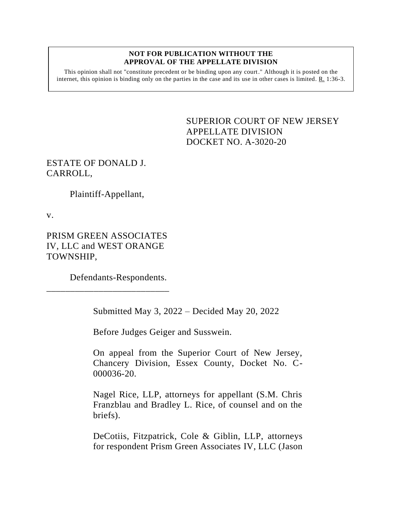## **NOT FOR PUBLICATION WITHOUT THE APPROVAL OF THE APPELLATE DIVISION**

This opinion shall not "constitute precedent or be binding upon any court." Although it is posted on the internet, this opinion is binding only on the parties in the case and its use in other cases is limited.  $R_1$  1:36-3.

> <span id="page-0-0"></span>SUPERIOR COURT OF NEW JERSEY APPELLATE DIVISION DOCKET NO. A-3020-20

## ESTATE OF DONALD J. CARROLL,

Plaintiff-Appellant,

v.

PRISM GREEN ASSOCIATES IV, LLC and WEST ORANGE TOWNSHIP,

\_\_\_\_\_\_\_\_\_\_\_\_\_\_\_\_\_\_\_\_\_\_\_\_\_\_

Defendants-Respondents.

Submitted May 3, 2022 – Decided May 20, 2022

Before Judges Geiger and Susswein.

On appeal from the Superior Court of New Jersey, Chancery Division, Essex County, Docket No. C-000036-20.

Nagel Rice, LLP, attorneys for appellant (S.M. Chris Franzblau and Bradley L. Rice, of counsel and on the briefs).

DeCotiis, Fitzpatrick, Cole & Giblin, LLP, attorneys for respondent Prism Green Associates IV, LLC (Jason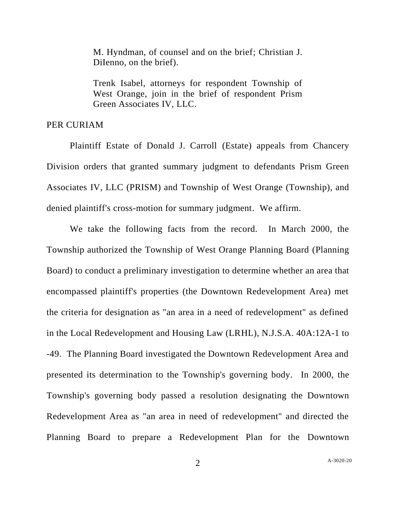M. Hyndman, of counsel and on the brief; Christian J. DiIenno, on the brief).

Trenk Isabel, attorneys for respondent Township of West Orange, join in the brief of respondent Prism Green Associates IV, LLC.

## PER CURIAM

Plaintiff Estate of Donald J. Carroll (Estate) appeals from Chancery Division orders that granted summary judgment to defendants Prism Green Associates IV, LLC (PRISM) and Township of West Orange (Township), and denied plaintiff's cross-motion for summary judgment. We affirm.

We take the following facts from the record. In March 2000, the Township authorized the Township of West Orange Planning Board (Planning Board) to conduct a preliminary investigation to determine whether an area that encompassed plaintiff's properties (the Downtown Redevelopment Area) met the criteria for designation as "an area in a need of redevelopment" as defined in the Local Redevelopment and Housing Law (LRHL), N.J.S.A. 40A:12A-1 to -49. The Planning Board investigated the Downtown Redevelopment Area and presented its determination to the Township's governing body. In 2000, the Township's governing body passed a resolution designating the Downtown Redevelopment Area as "an area in need of redevelopment" and directed the Planning Board to prepare a Redevelopment Plan for the Downtown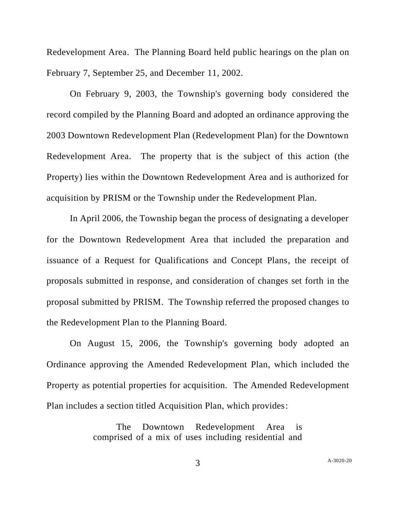Redevelopment Area. The Planning Board held public hearings on the plan on February 7, September 25, and December 11, 2002.

On February 9, 2003, the Township's governing body considered the record compiled by the Planning Board and adopted an ordinance approving the 2003 Downtown Redevelopment Plan (Redevelopment Plan) for the Downtown Redevelopment Area. The property that is the subject of this action (the Property) lies within the Downtown Redevelopment Area and is authorized for acquisition by PRISM or the Township under the Redevelopment Plan.

In April 2006, the Township began the process of designating a developer for the Downtown Redevelopment Area that included the preparation and issuance of a Request for Qualifications and Concept Plans, the receipt of proposals submitted in response, and consideration of changes set forth in the proposal submitted by PRISM. The Township referred the proposed changes to the Redevelopment Plan to the Planning Board.

On August 15, 2006, the Township's governing body adopted an Ordinance approving the Amended Redevelopment Plan, which included the Property as potential properties for acquisition. The Amended Redevelopment Plan includes a section titled Acquisition Plan, which provides:

> The Downtown Redevelopment Area is comprised of a mix of uses including residential and

> > A[-3020-20](#page-0-0)

3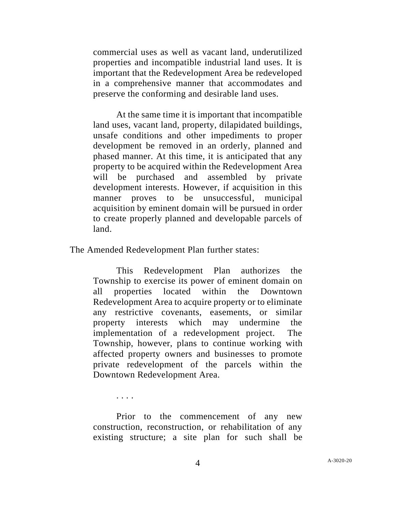commercial uses as well as vacant land, underutilized properties and incompatible industrial land uses. It is important that the Redevelopment Area be redeveloped in a comprehensive manner that accommodates and preserve the conforming and desirable land uses.

At the same time it is important that incompatible land uses, vacant land, property, dilapidated buildings, unsafe conditions and other impediments to proper development be removed in an orderly, planned and phased manner. At this time, it is anticipated that any property to be acquired within the Redevelopment Area will be purchased and assembled by private development interests. However, if acquisition in this manner proves to be unsuccessful, municipal acquisition by eminent domain will be pursued in order to create properly planned and developable parcels of land.

The Amended Redevelopment Plan further states:

This Redevelopment Plan authorizes the Township to exercise its power of eminent domain on all properties located within the Downtown Redevelopment Area to acquire property or to eliminate any restrictive covenants, easements, or similar property interests which may undermine the implementation of a redevelopment project. The Township, however, plans to continue working with affected property owners and businesses to promote private redevelopment of the parcels within the Downtown Redevelopment Area.

. . . .

Prior to the commencement of any new construction, reconstruction, or rehabilitation of any existing structure; a site plan for such shall be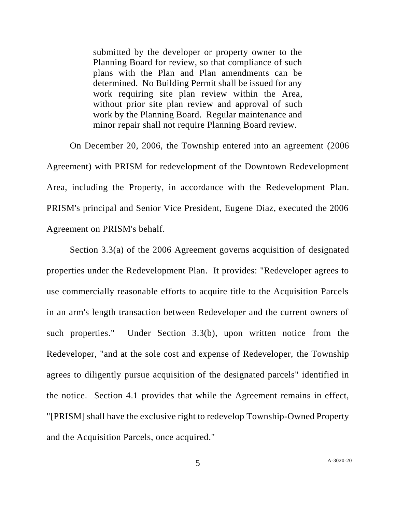submitted by the developer or property owner to the Planning Board for review, so that compliance of such plans with the Plan and Plan amendments can be determined. No Building Permit shall be issued for any work requiring site plan review within the Area, without prior site plan review and approval of such work by the Planning Board. Regular maintenance and minor repair shall not require Planning Board review.

On December 20, 2006, the Township entered into an agreement (2006 Agreement) with PRISM for redevelopment of the Downtown Redevelopment Area, including the Property, in accordance with the Redevelopment Plan. PRISM's principal and Senior Vice President, Eugene Diaz, executed the 2006 Agreement on PRISM's behalf.

Section 3.3(a) of the 2006 Agreement governs acquisition of designated properties under the Redevelopment Plan. It provides: "Redeveloper agrees to use commercially reasonable efforts to acquire title to the Acquisition Parcels in an arm's length transaction between Redeveloper and the current owners of such properties." Under Section 3.3(b), upon written notice from the Redeveloper, "and at the sole cost and expense of Redeveloper, the Township agrees to diligently pursue acquisition of the designated parcels" identified in the notice. Section 4.1 provides that while the Agreement remains in effect, "[PRISM] shall have the exclusive right to redevelop Township-Owned Property and the Acquisition Parcels, once acquired."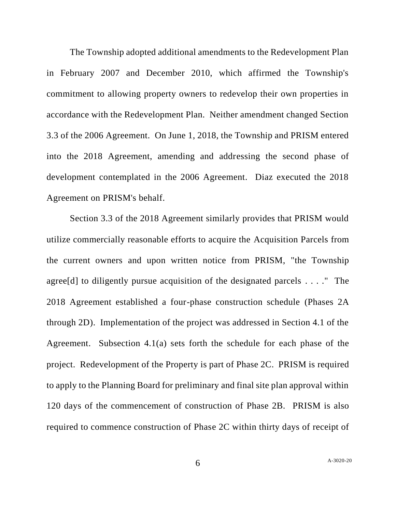The Township adopted additional amendments to the Redevelopment Plan in February 2007 and December 2010, which affirmed the Township's commitment to allowing property owners to redevelop their own properties in accordance with the Redevelopment Plan. Neither amendment changed Section 3.3 of the 2006 Agreement. On June 1, 2018, the Township and PRISM entered into the 2018 Agreement, amending and addressing the second phase of development contemplated in the 2006 Agreement. Diaz executed the 2018 Agreement on PRISM's behalf.

Section 3.3 of the 2018 Agreement similarly provides that PRISM would utilize commercially reasonable efforts to acquire the Acquisition Parcels from the current owners and upon written notice from PRISM, "the Township agree[d] to diligently pursue acquisition of the designated parcels . . . ." The 2018 Agreement established a four-phase construction schedule (Phases 2A through 2D). Implementation of the project was addressed in Section 4.1 of the Agreement. Subsection 4.1(a) sets forth the schedule for each phase of the project. Redevelopment of the Property is part of Phase 2C. PRISM is required to apply to the Planning Board for preliminary and final site plan approval within 120 days of the commencement of construction of Phase 2B. PRISM is also required to commence construction of Phase 2C within thirty days of receipt of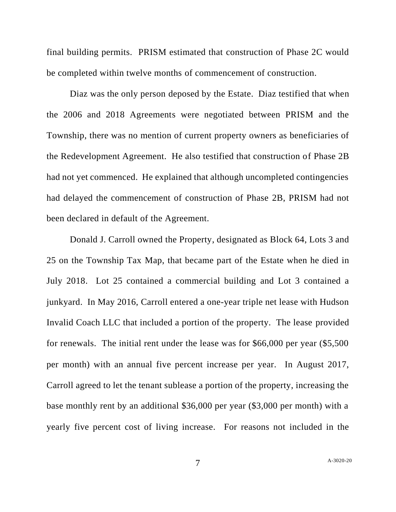final building permits. PRISM estimated that construction of Phase 2C would be completed within twelve months of commencement of construction.

Diaz was the only person deposed by the Estate. Diaz testified that when the 2006 and 2018 Agreements were negotiated between PRISM and the Township, there was no mention of current property owners as beneficiaries of the Redevelopment Agreement. He also testified that construction of Phase 2B had not yet commenced. He explained that although uncompleted contingencies had delayed the commencement of construction of Phase 2B, PRISM had not been declared in default of the Agreement.

Donald J. Carroll owned the Property, designated as Block 64, Lots 3 and 25 on the Township Tax Map, that became part of the Estate when he died in July 2018. Lot 25 contained a commercial building and Lot 3 contained a junkyard. In May 2016, Carroll entered a one-year triple net lease with Hudson Invalid Coach LLC that included a portion of the property. The lease provided for renewals. The initial rent under the lease was for \$66,000 per year (\$5,500 per month) with an annual five percent increase per year. In August 2017, Carroll agreed to let the tenant sublease a portion of the property, increasing the base monthly rent by an additional \$36,000 per year (\$3,000 per month) with a yearly five percent cost of living increase. For reasons not included in the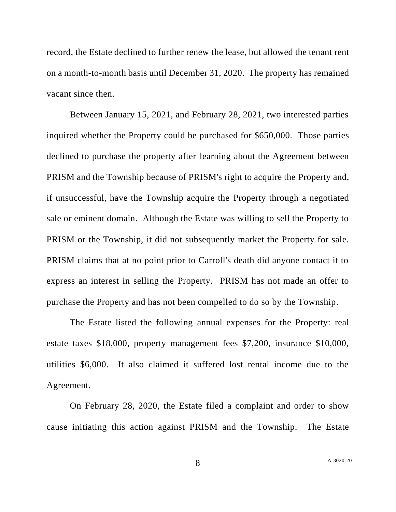record, the Estate declined to further renew the lease, but allowed the tenant rent on a month-to-month basis until December 31, 2020. The property has remained vacant since then.

Between January 15, 2021, and February 28, 2021, two interested parties inquired whether the Property could be purchased for \$650,000. Those parties declined to purchase the property after learning about the Agreement between PRISM and the Township because of PRISM's right to acquire the Property and, if unsuccessful, have the Township acquire the Property through a negotiated sale or eminent domain. Although the Estate was willing to sell the Property to PRISM or the Township, it did not subsequently market the Property for sale. PRISM claims that at no point prior to Carroll's death did anyone contact it to express an interest in selling the Property. PRISM has not made an offer to purchase the Property and has not been compelled to do so by the Township.

The Estate listed the following annual expenses for the Property: real estate taxes \$18,000, property management fees \$7,200, insurance \$10,000, utilities \$6,000. It also claimed it suffered lost rental income due to the Agreement.

On February 28, 2020, the Estate filed a complaint and order to show cause initiating this action against PRISM and the Township. The Estate

8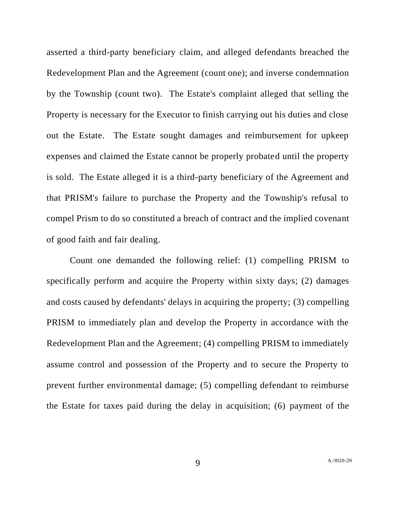asserted a third-party beneficiary claim, and alleged defendants breached the Redevelopment Plan and the Agreement (count one); and inverse condemnation by the Township (count two). The Estate's complaint alleged that selling the Property is necessary for the Executor to finish carrying out his duties and close out the Estate. The Estate sought damages and reimbursement for upkeep expenses and claimed the Estate cannot be properly probated until the property is sold. The Estate alleged it is a third-party beneficiary of the Agreement and that PRISM's failure to purchase the Property and the Township's refusal to compel Prism to do so constituted a breach of contract and the implied covenant of good faith and fair dealing.

Count one demanded the following relief: (1) compelling PRISM to specifically perform and acquire the Property within sixty days; (2) damages and costs caused by defendants' delays in acquiring the property; (3) compelling PRISM to immediately plan and develop the Property in accordance with the Redevelopment Plan and the Agreement; (4) compelling PRISM to immediately assume control and possession of the Property and to secure the Property to prevent further environmental damage; (5) compelling defendant to reimburse the Estate for taxes paid during the delay in acquisition; (6) payment of the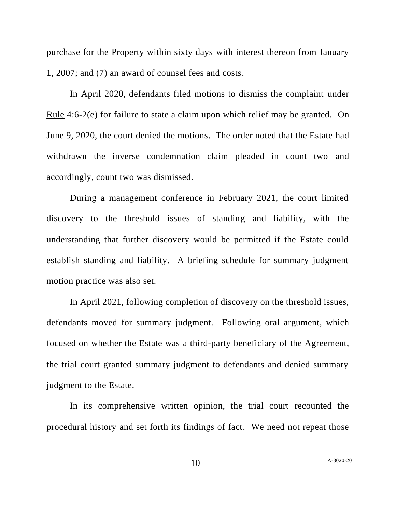purchase for the Property within sixty days with interest thereon from January 1, 2007; and (7) an award of counsel fees and costs.

In April 2020, defendants filed motions to dismiss the complaint under Rule 4:6-2(e) for failure to state a claim upon which relief may be granted. On June 9, 2020, the court denied the motions. The order noted that the Estate had withdrawn the inverse condemnation claim pleaded in count two and accordingly, count two was dismissed.

During a management conference in February 2021, the court limited discovery to the threshold issues of standing and liability, with the understanding that further discovery would be permitted if the Estate could establish standing and liability. A briefing schedule for summary judgment motion practice was also set.

In April 2021, following completion of discovery on the threshold issues, defendants moved for summary judgment. Following oral argument, which focused on whether the Estate was a third-party beneficiary of the Agreement, the trial court granted summary judgment to defendants and denied summary judgment to the Estate.

In its comprehensive written opinion, the trial court recounted the procedural history and set forth its findings of fact. We need not repeat those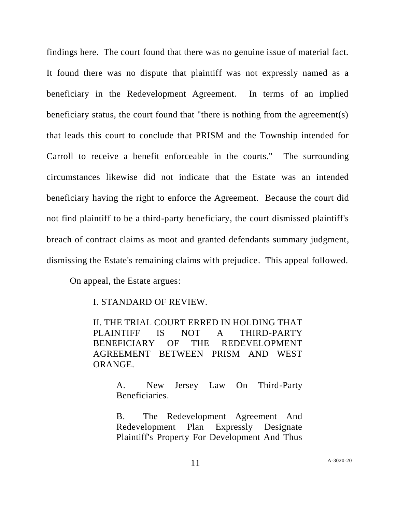findings here. The court found that there was no genuine issue of material fact. It found there was no dispute that plaintiff was not expressly named as a beneficiary in the Redevelopment Agreement. In terms of an implied beneficiary status, the court found that "there is nothing from the agreement(s) that leads this court to conclude that PRISM and the Township intended for Carroll to receive a benefit enforceable in the courts." The surrounding circumstances likewise did not indicate that the Estate was an intended beneficiary having the right to enforce the Agreement. Because the court did not find plaintiff to be a third-party beneficiary, the court dismissed plaintiff's breach of contract claims as moot and granted defendants summary judgment, dismissing the Estate's remaining claims with prejudice. This appeal followed.

On appeal, the Estate argues:

I. STANDARD OF REVIEW.

II. THE TRIAL COURT ERRED IN HOLDING THAT PLAINTIFF IS NOT A THIRD-PARTY BENEFICIARY OF THE REDEVELOPMENT AGREEMENT BETWEEN PRISM AND WEST ORANGE.

> A. New Jersey Law On Third-Party Beneficiaries.

> B. The Redevelopment Agreement And Redevelopment Plan Expressly Designate Plaintiff's Property For Development And Thus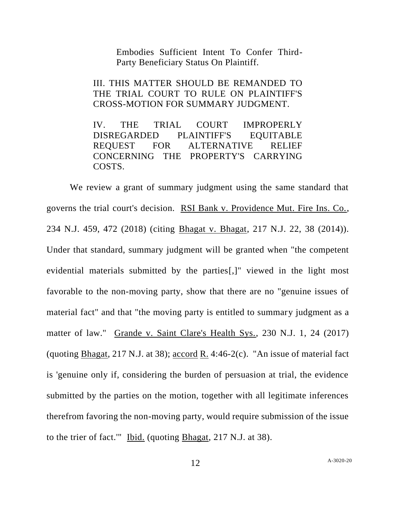Embodies Sufficient Intent To Confer Third-Party Beneficiary Status On Plaintiff.

III. THIS MATTER SHOULD BE REMANDED TO THE TRIAL COURT TO RULE ON PLAINTIFF'S CROSS-MOTION FOR SUMMARY JUDGMENT.

IV. THE TRIAL COURT IMPROPERLY DISREGARDED PLAINTIFF'S EQUITABLE REQUEST FOR ALTERNATIVE RELIEF CONCERNING THE PROPERTY'S CARRYING COSTS.

We review a grant of summary judgment using the same standard that governs the trial court's decision. RSI Bank v. Providence Mut. Fire Ins. Co., 234 N.J. 459, 472 (2018) (citing Bhagat v. Bhagat, 217 N.J. 22, 38 (2014)). Under that standard, summary judgment will be granted when "the competent evidential materials submitted by the parties[,]" viewed in the light most favorable to the non-moving party, show that there are no "genuine issues of material fact" and that "the moving party is entitled to summary judgment as a matter of law." Grande v. Saint Clare's Health Sys., 230 N.J. 1, 24 (2017) (quoting Bhagat, 217 N.J. at 38); accord R. 4:46-2(c). "An issue of material fact is 'genuine only if, considering the burden of persuasion at trial, the evidence submitted by the parties on the motion, together with all legitimate inferences therefrom favoring the non-moving party, would require submission of the issue to the trier of fact.'" Ibid. (quoting Bhagat, 217 N.J. at 38).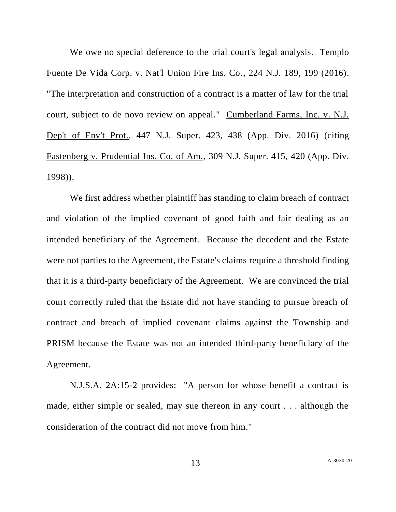We owe no special deference to the trial court's legal analysis. Templo Fuente De Vida Corp. v. Nat'l Union Fire Ins. Co., 224 N.J. 189, 199 (2016). "The interpretation and construction of a contract is a matter of law for the trial court, subject to de novo review on appeal." Cumberland Farms, Inc. v. N.J. Dep't of Env't Prot., 447 N.J. Super. 423, 438 (App. Div. 2016) (citing Fastenberg v. Prudential Ins. Co. of Am., 309 N.J. Super. 415, 420 (App. Div. 1998)).

We first address whether plaintiff has standing to claim breach of contract and violation of the implied covenant of good faith and fair dealing as an intended beneficiary of the Agreement. Because the decedent and the Estate were not parties to the Agreement, the Estate's claims require a threshold finding that it is a third-party beneficiary of the Agreement. We are convinced the trial court correctly ruled that the Estate did not have standing to pursue breach of contract and breach of implied covenant claims against the Township and PRISM because the Estate was not an intended third-party beneficiary of the Agreement.

N.J.S.A. 2A:15-2 provides: "A person for whose benefit a contract is made, either simple or sealed, may sue thereon in any court . . . although the consideration of the contract did not move from him."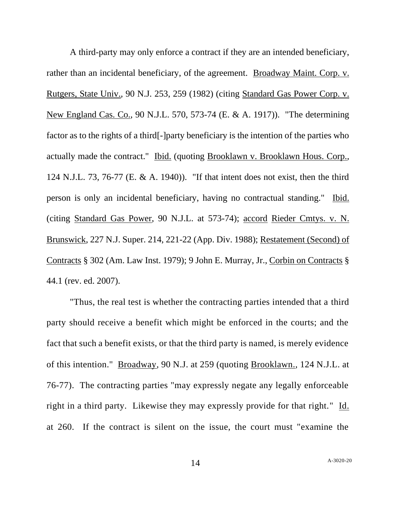A third-party may only enforce a contract if they are an intended beneficiary, rather than an incidental beneficiary, of the agreement. Broadway Maint. Corp. v. Rutgers, State Univ.*,* 90 N.J. 253, 259 (1982) (citing Standard Gas Power Corp. v. New England Cas. Co., 90 N.J.L. 570, 573-74 (E. & A. 1917)). "The determining factor as to the rights of a third[-]party beneficiary is the intention of the parties who actually made the contract." Ibid. (quoting Brooklawn v. Brooklawn Hous. Corp.*,* 124 N.J.L. 73, 76-77 (E. & A. 1940)). "If that intent does not exist, then the third person is only an incidental beneficiary, having no contractual standing." Ibid. (citing Standard Gas Power, 90 N.J.L. at 573-74); accord Rieder Cmtys. v. N. Brunswick, 227 N.J. Super. 214, 221-22 (App. Div. 1988); Restatement (Second) of Contracts § 302 (Am. Law Inst. 1979); 9 John E. Murray, Jr., Corbin on Contracts § 44.1 (rev. ed. 2007).

"Thus, the real test is whether the contracting parties intended that a third party should receive a benefit which might be enforced in the courts; and the fact that such a benefit exists, or that the third party is named, is merely evidence of this intention." Broadway*,* 90 N.J. at 259 (quoting Brooklawn.*,* 124 N.J.L. at 76-77). The contracting parties "may expressly negate any legally enforceable right in a third party. Likewise they may expressly provide for that right." Id. at 260. If the contract is silent on the issue, the court must "examine the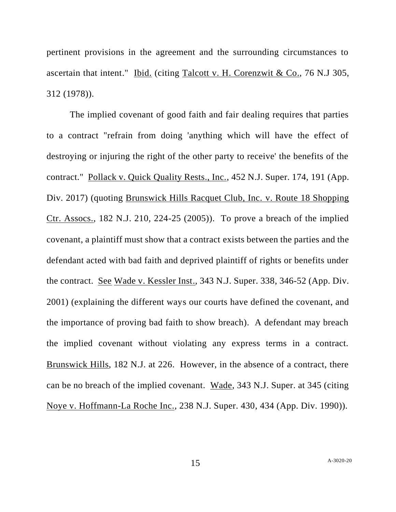pertinent provisions in the agreement and the surrounding circumstances to ascertain that intent." Ibid. (citing Talcott v. H. Corenzwit & Co., 76 N.J 305, 312 (1978)).

The implied covenant of good faith and fair dealing requires that parties to a contract "refrain from doing 'anything which will have the effect of destroying or injuring the right of the other party to receive' the benefits of the contract." Pollack v. Quick Quality Rests., Inc., 452 N.J. Super. 174, 191 (App. Div. 2017) (quoting Brunswick Hills Racquet Club, Inc. v. Route 18 Shopping Ctr. Assocs., 182 N.J. 210, 224-25 (2005)). To prove a breach of the implied covenant, a plaintiff must show that a contract exists between the parties and the defendant acted with bad faith and deprived plaintiff of rights or benefits under the contract. See Wade v. Kessler Inst., 343 N.J. Super. 338, 346-52 (App. Div. 2001) (explaining the different ways our courts have defined the covenant, and the importance of proving bad faith to show breach). A defendant may breach the implied covenant without violating any express terms in a contract. Brunswick Hills, 182 N.J. at 226. However, in the absence of a contract, there can be no breach of the implied covenant. Wade, 343 N.J. Super. at 345 (citing Noye v. Hoffmann-La Roche Inc., 238 N.J. Super. 430, 434 (App. Div. 1990)).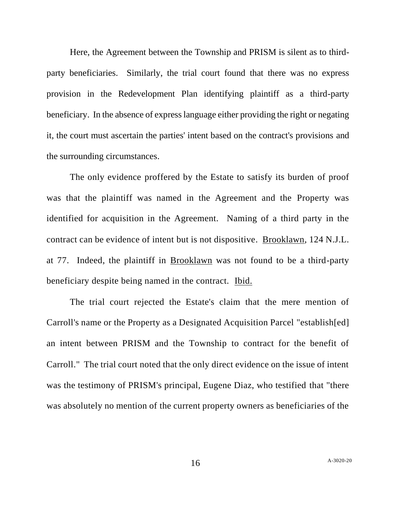Here, the Agreement between the Township and PRISM is silent as to thirdparty beneficiaries. Similarly, the trial court found that there was no express provision in the Redevelopment Plan identifying plaintiff as a third-party beneficiary. In the absence of express language either providing the right or negating it, the court must ascertain the parties' intent based on the contract's provisions and the surrounding circumstances.

The only evidence proffered by the Estate to satisfy its burden of proof was that the plaintiff was named in the Agreement and the Property was identified for acquisition in the Agreement. Naming of a third party in the contract can be evidence of intent but is not dispositive. Brooklawn, 124 N.J.L. at 77. Indeed, the plaintiff in Brooklawn was not found to be a third-party beneficiary despite being named in the contract. Ibid.

The trial court rejected the Estate's claim that the mere mention of Carroll's name or the Property as a Designated Acquisition Parcel "establish[ed] an intent between PRISM and the Township to contract for the benefit of Carroll." The trial court noted that the only direct evidence on the issue of intent was the testimony of PRISM's principal, Eugene Diaz, who testified that "there was absolutely no mention of the current property owners as beneficiaries of the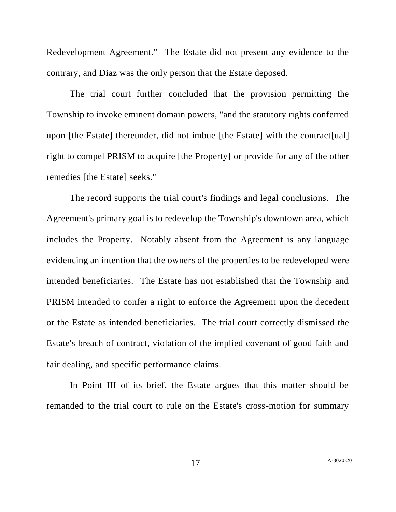Redevelopment Agreement." The Estate did not present any evidence to the contrary, and Diaz was the only person that the Estate deposed.

The trial court further concluded that the provision permitting the Township to invoke eminent domain powers, "and the statutory rights conferred upon [the Estate] thereunder, did not imbue [the Estate] with the contract[ual] right to compel PRISM to acquire [the Property] or provide for any of the other remedies [the Estate] seeks."

The record supports the trial court's findings and legal conclusions. The Agreement's primary goal is to redevelop the Township's downtown area, which includes the Property. Notably absent from the Agreement is any language evidencing an intention that the owners of the properties to be redeveloped were intended beneficiaries. The Estate has not established that the Township and PRISM intended to confer a right to enforce the Agreement upon the decedent or the Estate as intended beneficiaries. The trial court correctly dismissed the Estate's breach of contract, violation of the implied covenant of good faith and fair dealing, and specific performance claims.

In Point III of its brief, the Estate argues that this matter should be remanded to the trial court to rule on the Estate's cross-motion for summary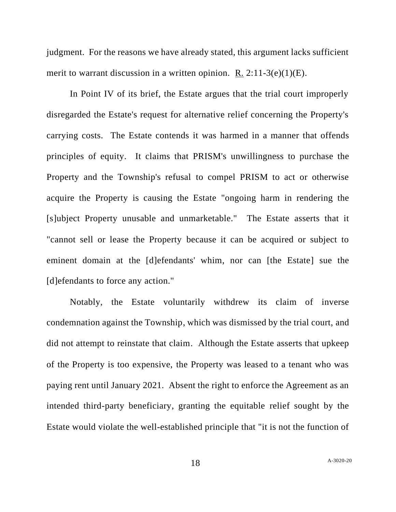judgment. For the reasons we have already stated, this argument lacks sufficient merit to warrant discussion in a written opinion. R.  $2:11-3(e)(1)(E)$ .

In Point IV of its brief, the Estate argues that the trial court improperly disregarded the Estate's request for alternative relief concerning the Property's carrying costs. The Estate contends it was harmed in a manner that offends principles of equity. It claims that PRISM's unwillingness to purchase the Property and the Township's refusal to compel PRISM to act or otherwise acquire the Property is causing the Estate "ongoing harm in rendering the [s]ubject Property unusable and unmarketable." The Estate asserts that it "cannot sell or lease the Property because it can be acquired or subject to eminent domain at the [d]efendants' whim, nor can [the Estate] sue the [d]efendants to force any action."

Notably, the Estate voluntarily withdrew its claim of inverse condemnation against the Township, which was dismissed by the trial court, and did not attempt to reinstate that claim. Although the Estate asserts that upkeep of the Property is too expensive, the Property was leased to a tenant who was paying rent until January 2021. Absent the right to enforce the Agreement as an intended third-party beneficiary, granting the equitable relief sought by the Estate would violate the well-established principle that "it is not the function of